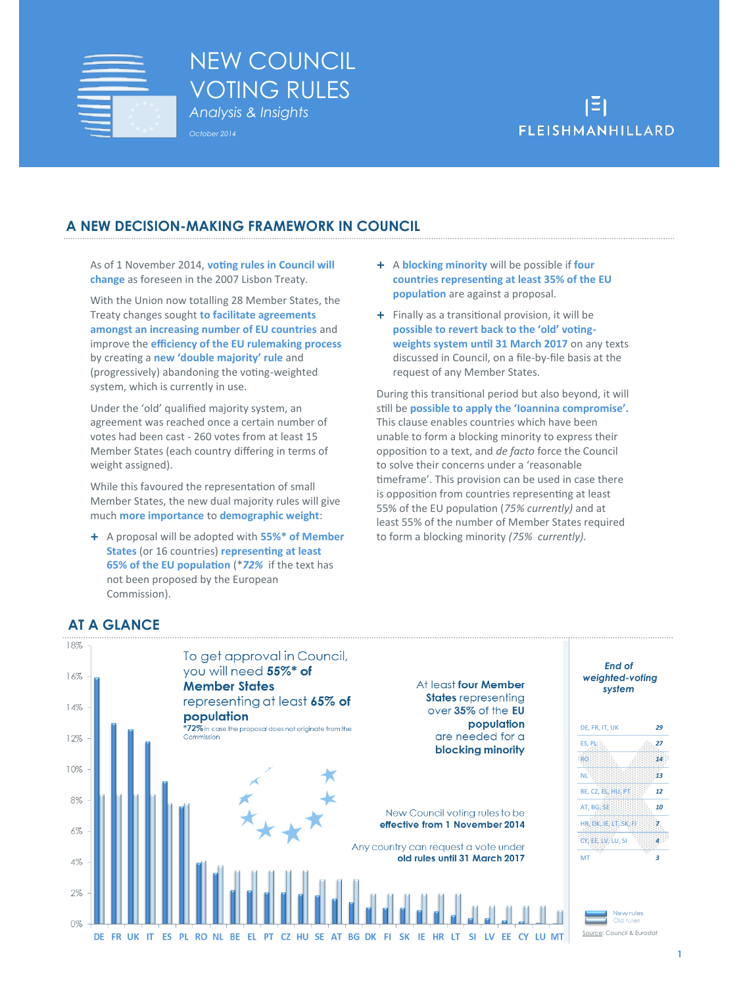

# NEW COUNCIL VOTING RULES *Analysis & Insights October 2014*



## **A NEW DECISION-MAKING FRAMEWORK IN COUNCIL**

As of 1 November 2014, **voting rules in Council will change** as foreseen in the 2007 Lisbon Treaty.

With the Union now totalling 28 Member States, the Treaty changes sought **to facilitate agreements amongst an increasing number of EU countries** and improve the **efficiency of the EU rulemaking process** by creating a **new 'double majority' rule** and (progressively) abandoning the voting-weighted system, which is currently in use.

Under the 'old' qualified majority system, an agreement was reached once a certain number of votes had been cast - 260 votes from at least 15 Member States (each country differing in terms of weight assigned).

While this favoured the representation of small Member States, the new dual majority rules will give much **more importance** to **demographic weight**:

 A proposal will be adopted with **55%\* of Member States** (or 16 countries) **representing at least 65% of the EU population** (\**72%* if the text has not been proposed by the European Commission).

- A **blocking minority** will be possible if **four countries representing at least 35% of the EU population** are against a proposal.
- $\pm$  Finally as a transitional provision, it will be **possible to revert back to the 'old' votingweights system until 31 March 2017** on any texts discussed in Council, on a file-by-file basis at the request of any Member States.

During this transitional period but also beyond, it will still be **possible to apply the 'Ioannina compromise'.**  This clause enables countries which have been unable to form a blocking minority to express their opposition to a text, and *de facto* force the Council to solve their concerns under a 'reasonable timeframe'. This provision can be used in case there is opposition from countries representing at least 55% of the EU population (*75% currently)* and at least 55% of the number of Member States required to form a blocking minority *(75% currently).* 



# **AT A GLANCE**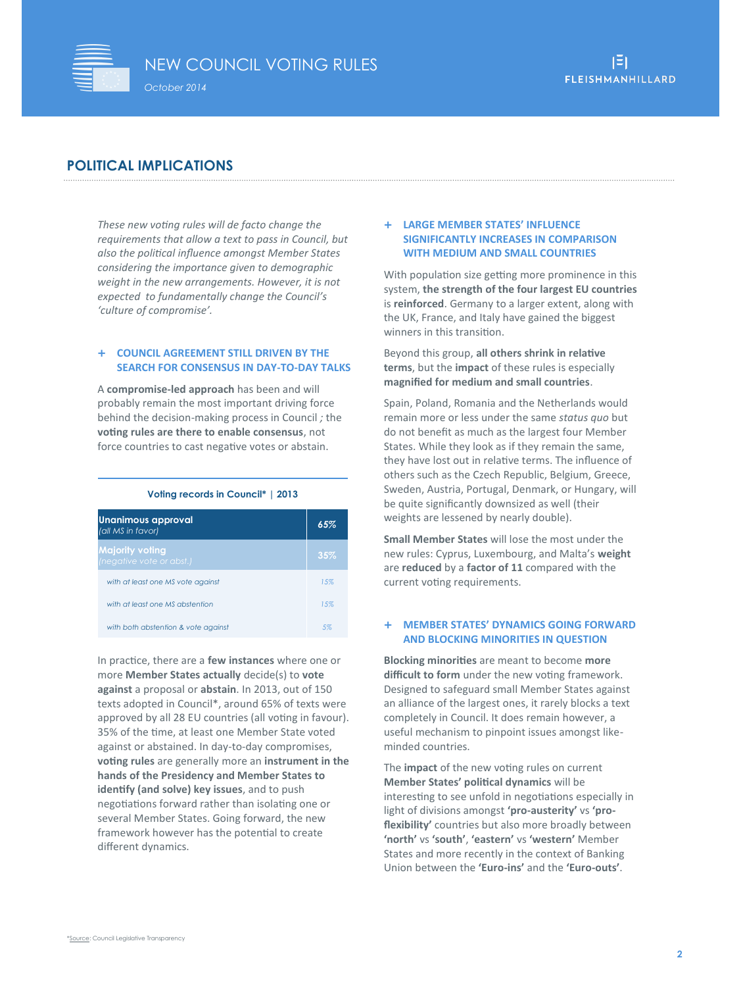

## **POLITICAL IMPLICATIONS**

*These new voting rules will de facto change the requirements that allow a text to pass in Council, but also the political influence amongst Member States considering the importance given to demographic weight in the new arrangements. However, it is not expected to fundamentally change the Council's 'culture of compromise'.* 

#### **COUNCIL AGREEMENT STILL DRIVEN BY THE SEARCH FOR CONSENSUS IN DAY-TO-DAY TALKS**

A **compromise-led approach** has been and will probably remain the most important driving force behind the decision-making process in Council *;* the **voting rules are there to enable consensus**, not force countries to cast negative votes or abstain.

#### **Voting records in Council\* | 2013**

| Unanimous approval<br>(all MS in favor)            | 65% |
|----------------------------------------------------|-----|
| <b>Majority voting</b><br>(negative vote or abst.) | 35% |
| with at least one MS vote against                  | 15% |
| with at least one MS abstention                    | 15% |
| with both abstention & vote against                | .5% |

In practice, there are a **few instances** where one or more **Member States actually** decide(s) to **vote against** a proposal or **abstain**. In 2013, out of 150 texts adopted in Council\*, around 65% of texts were approved by all 28 EU countries (all voting in favour). 35% of the time, at least one Member State voted against or abstained. In day-to-day compromises, **voting rules** are generally more an **instrument in the hands of the Presidency and Member States to identify (and solve) key issues**, and to push negotiations forward rather than isolating one or several Member States. Going forward, the new framework however has the potential to create different dynamics.

#### **LARGE MEMBER STATES' INFLUENCE SIGNIFICANTLY INCREASES IN COMPARISON WITH MEDIUM AND SMALL COUNTRIES**

With population size getting more prominence in this system, **the strength of the four largest EU countries** is **reinforced**. Germany to a larger extent, along with the UK, France, and Italy have gained the biggest winners in this transition.

Beyond this group, **all others shrink in relative terms**, but the **impact** of these rules is especially **magnified for medium and small countries**.

Spain, Poland, Romania and the Netherlands would remain more or less under the same *status quo* but do not benefit as much as the largest four Member States. While they look as if they remain the same, they have lost out in relative terms. The influence of others such as the Czech Republic, Belgium, Greece, Sweden, Austria, Portugal, Denmark, or Hungary, will be quite significantly downsized as well (their weights are lessened by nearly double).

**Small Member States** will lose the most under the new rules: Cyprus, Luxembourg, and Malta's **weight**  are **reduced** by a **factor of 11** compared with the current voting requirements.

#### **MEMBER STATES' DYNAMICS GOING FORWARD AND BLOCKING MINORITIES IN QUESTION**

**Blocking minorities** are meant to become **more difficult to form** under the new voting framework. Designed to safeguard small Member States against an alliance of the largest ones, it rarely blocks a text completely in Council. It does remain however, a useful mechanism to pinpoint issues amongst likeminded countries.

The **impact** of the new voting rules on current **Member States' political dynamics** will be interesting to see unfold in negotiations especially in light of divisions amongst **'pro-austerity'** vs **'proflexibility'** countries but also more broadly between **'north'** vs **'south'**, **'eastern'** vs **'western'** Member States and more recently in the context of Banking Union between the **'Euro-ins'** and the **'Euro-outs'**.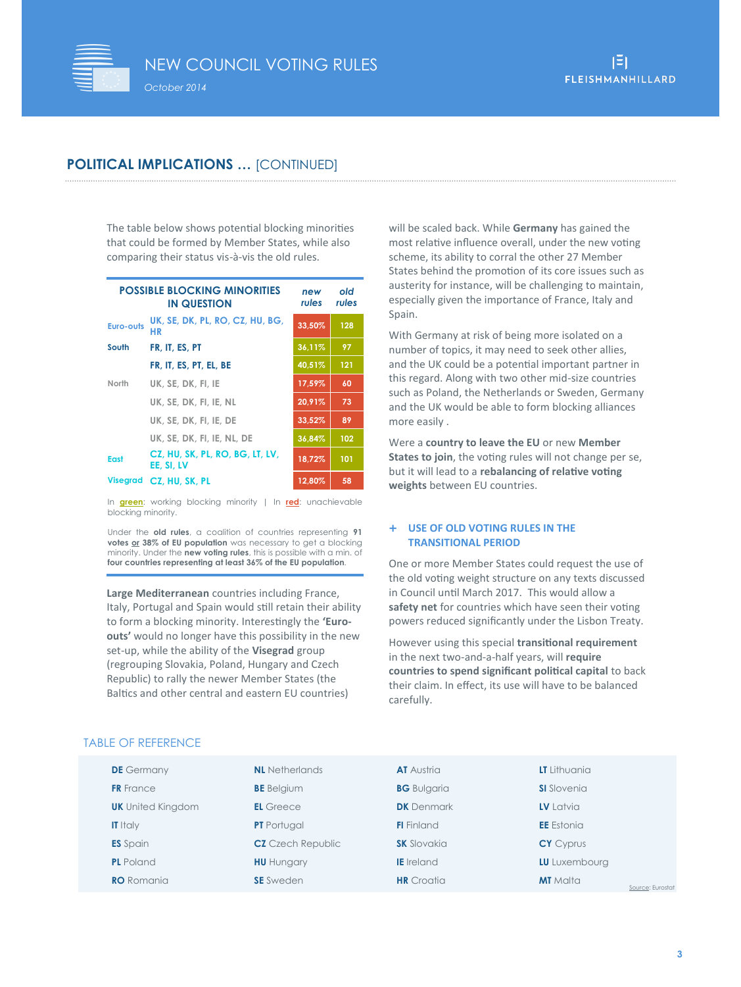

## **POLITICAL IMPLICATIONS …** [CONTINUED]

The table below shows potential blocking minorities that could be formed by Member States, while also comparing their status vis-à-vis the old rules.

| <b>POSSIBLE BLOCKING MINORITIES</b> | new<br>rules                                  | old<br>rules |     |
|-------------------------------------|-----------------------------------------------|--------------|-----|
| <b>Euro-outs</b>                    | UK, SE, DK, PL, RO, CZ, HU, BG,<br>HR         | 33,50%       | 128 |
| South                               | FR, IT, ES, PT                                | 36,11%       | 97  |
|                                     | FR. IT. ES. PT. EL. BE                        | 40,51%       | 121 |
| North                               | UK. SE. DK. FI. IE                            | 17,59%       | 60  |
|                                     | UK, SE, DK, FI, IE, NL                        | 20,91%       | 73  |
|                                     | UK. SE. DK. FI. IE. DE                        | 33,52%       | 89  |
|                                     | UK, SE, DK, FI, IE, NL, DE                    | 36,84%       | 102 |
| <b>East</b>                         | CZ, HU, SK, PL, RO, BG, LT, LV,<br>EE. SI. LV | 18.72%       | 101 |
| <b>Visegrad</b>                     | CZ, HU, SK, PL                                | 12,80%       | 58  |

In **green**: working blocking minority | In **red**: unachievable blocking minority.

Under the **old rules**, a coalition of countries representing **91 votes or 38% of EU population** was necessary to get a blocking minority. Under the **new voting rules**, this is possible with a min. of **four countries representing at least 36% of the EU population***.* 

**Large Mediterranean** countries including France, Italy, Portugal and Spain would still retain their ability to form a blocking minority. Interestingly the **'Euroouts'** would no longer have this possibility in the new set-up, while the ability of the **Visegrad** group (regrouping Slovakia, Poland, Hungary and Czech Republic) to rally the newer Member States (the Baltics and other central and eastern EU countries)

will be scaled back. While **Germany** has gained the most relative influence overall, under the new voting scheme, its ability to corral the other 27 Member States behind the promotion of its core issues such as austerity for instance, will be challenging to maintain, especially given the importance of France, Italy and Spain.

With Germany at risk of being more isolated on a number of topics, it may need to seek other allies, and the UK could be a potential important partner in this regard. Along with two other mid-size countries such as Poland, the Netherlands or Sweden, Germany and the UK would be able to form blocking alliances more easily .

Were a **country to leave the EU** or new **Member States to join**, the voting rules will not change per se. but it will lead to a **rebalancing of relative voting weights** between EU countries.

#### **USE OF OLD VOTING RULES IN THE TRANSITIONAL PERIOD**

One or more Member States could request the use of the old voting weight structure on any texts discussed in Council until March 2017. This would allow a safety net for countries which have seen their voting powers reduced significantly under the Lisbon Treaty.

However using this special **transitional requirement**  in the next two-and-a-half years, will **require countries to spend significant political capital** to back their claim. In effect, its use will have to be balanced carefully.

|  | <b>TABLE OF REFERENCE</b> |  |
|--|---------------------------|--|
|  |                           |  |

| <b>DE</b> Germany        | <b>NL</b> Netherlands    | <b>AT</b> Austria  | LT Lithuania                        |
|--------------------------|--------------------------|--------------------|-------------------------------------|
| <b>FR</b> France         | <b>BE</b> Belgium        | <b>BG</b> Bulgaria | <b>SI</b> Slovenia                  |
| <b>UK</b> United Kingdom | <b>EL</b> Greece         | <b>DK</b> Denmark  | LV Latvia                           |
| <b>IT</b> Italy          | <b>PT</b> Portugal       | <b>FI</b> Finland  | <b>EE</b> Estonia                   |
| <b>ES</b> Spain          | <b>CZ</b> Czech Republic | <b>SK</b> Slovakia | <b>CY</b> Cyprus                    |
| <b>PL</b> Poland         | <b>HU</b> Hungary        | <b>IE</b> Ireland  | LU Luxembourg                       |
| <b>RO</b> Romania        | <b>SE</b> Sweden         | <b>HR</b> Croatia  | <b>MT</b> Malta<br>Source: Eurostat |